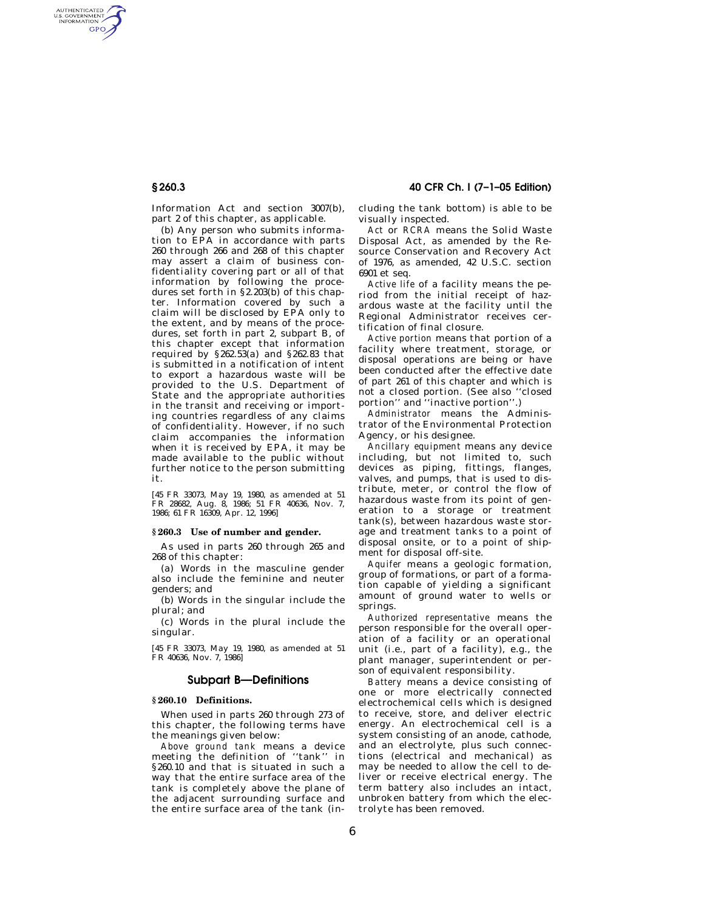AUTHENTICATED<br>U.S. GOVERNMENT<br>INFORMATION GPO

> Information Act and section 3007(b), part 2 of this chapter, as applicable.

> (b) Any person who submits information to EPA in accordance with parts 260 through 266 and 268 of this chapter may assert a claim of business confidentiality covering part or all of that information by following the procedures set forth in §2.203(b) of this chapter. Information covered by such a claim will be disclosed by EPA only to the extent, and by means of the procedures, set forth in part 2, subpart B, of this chapter except that information required by  $$262.53(a)$  and  $$262.83$  that is submitted in a notification of intent to export a hazardous waste will be provided to the U.S. Department of State and the appropriate authorities in the transit and receiving or importing countries regardless of any claims of confidentiality. However, if no such claim accompanies the information when it is received by EPA, it may be made available to the public without further notice to the person submitting it.

[45 FR 33073, May 19, 1980, as amended at 51 FR 28682, Aug. 8, 1986; 51 FR 40636, Nov. 7, 1986; 61 FR 16309, Apr. 12, 1996]

#### **§ 260.3 Use of number and gender.**

As used in parts 260 through 265 and 268 of this chapter:

(a) Words in the masculine gender also include the feminine and neuter genders; and

(b) Words in the singular include the plural; and

(c) Words in the plural include the singular.

[45 FR 33073, May 19, 1980, as amended at 51 FR 40636, Nov. 7, 1986]

#### **Subpart B—Definitions**

## **§ 260.10 Definitions.**

When used in parts 260 through 273 of this chapter, the following terms have the meanings given below:

*Above ground tank* means a device meeting the definition of "tank" in §260.10 and that is situated in such a way that the entire surface area of the tank is completely above the plane of the adjacent surrounding surface and the entire surface area of the tank (in-

**§ 260.3 40 CFR Ch. I (7–1–05 Edition)** 

cluding the tank bottom) is able to be visually inspected.

*Act* or *RCRA* means the Solid Waste Disposal Act, as amended by the Resource Conservation and Recovery Act of 1976, as amended, 42 U.S.C. section 6901 et seq.

*Active life* of a facility means the period from the initial receipt of hazardous waste at the facility until the Regional Administrator receives certification of final closure.

*Active portion* means that portion of a facility where treatment, storage, or disposal operations are being or have been conducted after the effective date of part 261 of this chapter and which is not a closed portion. (See also ''closed portion'' and ''inactive portion''.)

*Administrator* means the Administrator of the Environmental Protection Agency, or his designee.

*Ancillary equipment* means any device including, but not limited to, such devices as piping, fittings, flanges, valves, and pumps, that is used to distribute, meter, or control the flow of hazardous waste from its point of generation to a storage or treatment tank(s), between hazardous waste storage and treatment tanks to a point of disposal onsite, or to a point of shipment for disposal off-site.

*Aquifer* means a geologic formation, group of formations, or part of a formation capable of yielding a significant amount of ground water to wells or springs.

*Authorized representative* means the person responsible for the overall operation of a facility or an operational unit (i.e., part of a facility), e.g., the plant manager, superintendent or person of equivalent responsibility.

*Battery* means a device consisting of one or more electrically connected electrochemical cells which is designed to receive, store, and deliver electric energy. An electrochemical cell is a system consisting of an anode, cathode, and an electrolyte, plus such connections (electrical and mechanical) as may be needed to allow the cell to deliver or receive electrical energy. The term battery also includes an intact, unbroken battery from which the electrolyte has been removed.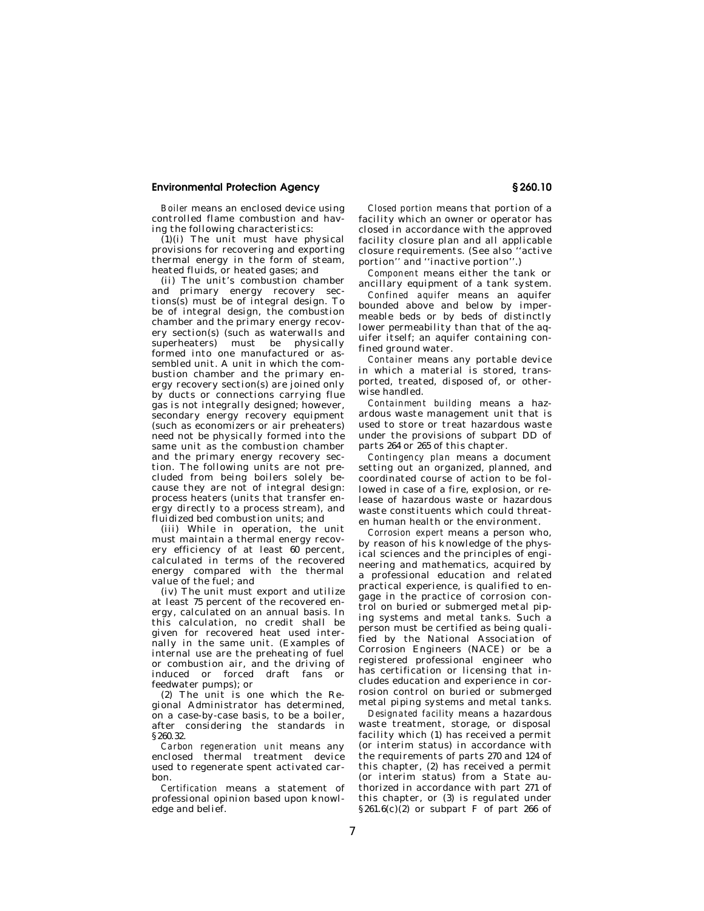*Boiler* means an enclosed device using controlled flame combustion and having the following characteristics:

 $(1)(i)$  The unit must have physical provisions for recovering and exporting thermal energy in the form of steam, heated fluids, or heated gases; and

(ii) The unit's combustion chamber and primary energy recovery sections(s) must be of integral design. To be of integral design, the combustion chamber and the primary energy recovery section(s) (such as waterwalls and superheaters) must be physically formed into one manufactured or assembled unit. A unit in which the combustion chamber and the primary energy recovery section(s) are joined only by ducts or connections carrying flue gas is not integrally designed; however, secondary energy recovery equipment (such as economizers or air preheaters) need not be physically formed into the same unit as the combustion chamber and the primary energy recovery section. The following units are not precluded from being boilers solely because they are not of integral design: process heaters (units that transfer energy directly to a process stream), and fluidized bed combustion units; and

(iii) While in operation, the unit must maintain a thermal energy recovery efficiency of at least  $60$  percent, calculated in terms of the recovered energy compared with the thermal value of the fuel; and

(iv) The unit must export and utilize at least 75 percent of the recovered energy, calculated on an annual basis. In this calculation, no credit shall be given for recovered heat used internally in the same unit. (Examples of internal use are the preheating of fuel or combustion air, and the driving of induced or forced draft fans feedwater pumps); or

(2) The unit is one which the Regional Administrator has determined, on a case-by-case basis, to be a boiler, after considering the standards in §260.32.

*Carbon regeneration unit* means any enclosed thermal treatment device used to regenerate spent activated carbon.

*Certification* means a statement of professional opinion based upon knowledge and belief.

*Closed portion* means that portion of a facility which an owner or operator has closed in accordance with the approved facility closure plan and all applicable closure requirements. (See also ''active portion'' and ''inactive portion''.)

*Component* means either the tank or ancillary equipment of a tank system.

*Confined aquifer* means an aquifer bounded above and below by impermeable beds or by beds of distinctly lower permeability than that of the aquifer itself; an aquifer containing confined ground water.

*Container* means any portable device in which a material is stored, transported, treated, disposed of, or otherwise handled.

*Containment building* means a hazardous waste management unit that is used to store or treat hazardous waste under the provisions of subpart DD of parts 264 or 265 of this chapter.

*Contingency plan* means a document setting out an organized, planned, and coordinated course of action to be followed in case of a fire, explosion, or release of hazardous waste or hazardous waste constituents which could threaten human health or the environment.

*Corrosion expert* means a person who, by reason of his knowledge of the physical sciences and the principles of engineering and mathematics, acquired by a professional education and related practical experience, is qualified to engage in the practice of corrosion control on buried or submerged metal piping systems and metal tanks. Such a person must be certified as being qualified by the National Association of Corrosion Engineers (NACE) or be a registered professional engineer who has certification or licensing that includes education and experience in corrosion control on buried or submerged metal piping systems and metal tanks.

*Designated facility* means a hazardous waste treatment, storage, or disposal facility which (1) has received a permit (or interim status) in accordance with the requirements of parts 270 and 124 of this chapter, (2) has received a permit (or interim status) from a State authorized in accordance with part 271 of this chapter, or (3) is regulated under  $§261.6(c)(2)$  or subpart F of part 266 of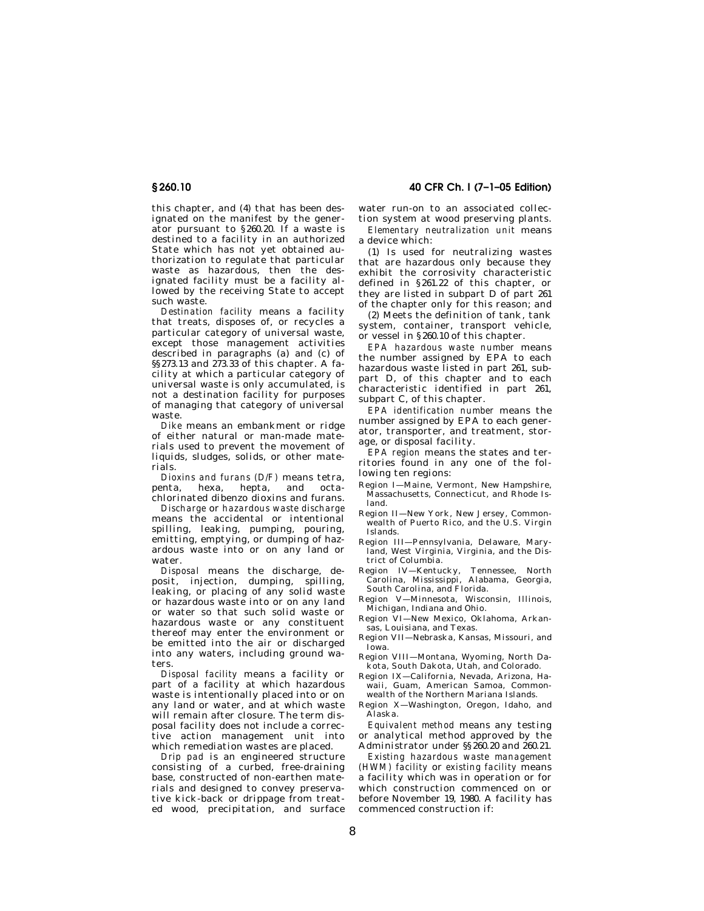this chapter, and (4) that has been designated on the manifest by the generator pursuant to §260.20. If a waste is destined to a facility in an authorized State which has not yet obtained authorization to regulate that particular waste as hazardous, then the designated facility must be a facility allowed by the receiving State to accept such waste.

*Destination facility* means a facility that treats, disposes of, or recycles a particular category of universal waste, except those management activities described in paragraphs (a) and (c) of §§273.13 and 273.33 of this chapter. A facility at which a particular category of universal waste is only accumulated, is not a destination facility for purposes of managing that category of universal waste.

*Dike* means an embankment or ridge of either natural or man-made materials used to prevent the movement of liquids, sludges, solids, or other materials.

*Dioxins and furans (D/F)* means tetra,<br>penta, hexa, hepta, and octahexa, hepta, and octachlorinated dibenzo dioxins and furans.

*Discharge* or *hazardous waste discharge*  means the accidental or intentional spilling, leaking, pumping, pouring, emitting, emptying, or dumping of hazardous waste into or on any land or water.

*Disposal* means the discharge, deposit, injection, dumping, spilling, leaking, or placing of any solid waste or hazardous waste into or on any land or water so that such solid waste or hazardous waste or any constituent thereof may enter the environment or be emitted into the air or discharged into any waters, including ground waters.

*Disposal facility* means a facility or part of a facility at which hazardous waste is intentionally placed into or on any land or water, and at which waste will remain after closure. The term disposal facility does not include a corrective action management unit into which remediation wastes are placed.

*Drip pad* is an engineered structure consisting of a curbed, free-draining base, constructed of non-earthen materials and designed to convey preservative kick-back or drippage from treated wood, precipitation, and surface

**§ 260.10 40 CFR Ch. I (7–1–05 Edition)** 

water run-on to an associated collection system at wood preserving plants. *Elementary neutralization unit* means

a device which:

(1) Is used for neutralizing wastes that are hazardous only because they exhibit the corrosivity characteristic defined in §261.22 of this chapter, or they are listed in subpart D of part 261 of the chapter only for this reason; and

(2) Meets the definition of tank, tank system, container, transport vehicle, or vessel in §260.10 of this chapter.

*EPA hazardous waste number* means the number assigned by EPA to each hazardous waste listed in part 261, subpart D, of this chapter and to each characteristic identified in part 261, subpart C, of this chapter.

*EPA identification number* means the number assigned by EPA to each generator, transporter, and treatment, storage, or disposal facility.

*EPA region* means the states and territories found in any one of the following ten regions:

- Region I—Maine, Vermont, New Hampshire, Massachusetts, Connecticut, and Rhode Island.
- Region II—New York, New Jersey, Commonwealth of Puerto Rico, and the U.S. Virgin Islands.
- Region III—Pennsylvania, Delaware, Maryland, West Virginia, Virginia, and the District of Columbia.
- Region IV—Kentucky, Tennessee, North Carolina, Mississippi, Alabama, Georgia, South Carolina, and Florida.
- Region V—Minnesota, Wisconsin, Illinois, Michigan, Indiana and Ohio.
- Region VI—New Mexico, Oklahoma, Arkansas, Louisiana, and Texas.

Region VII—Nebraska, Kansas, Missouri, and Iowa.

- Region VIII—Montana, Wyoming, North Dakota, South Dakota, Utah, and Colorado.
- Region IX—California, Nevada, Arizona, Hawaii, Guam, American Samoa, Commonwealth of the Northern Mariana Islands.
- Region X—Washington, Oregon, Idaho, and Alaska.

*Equivalent method* means any testing or analytical method approved by the Administrator under §§260.20 and 260.21.

*Existing hazardous waste management (HWM) facility* or *existing facility* means a facility which was in operation or for which construction commenced on or before November 19, 1980. A facility has commenced construction if: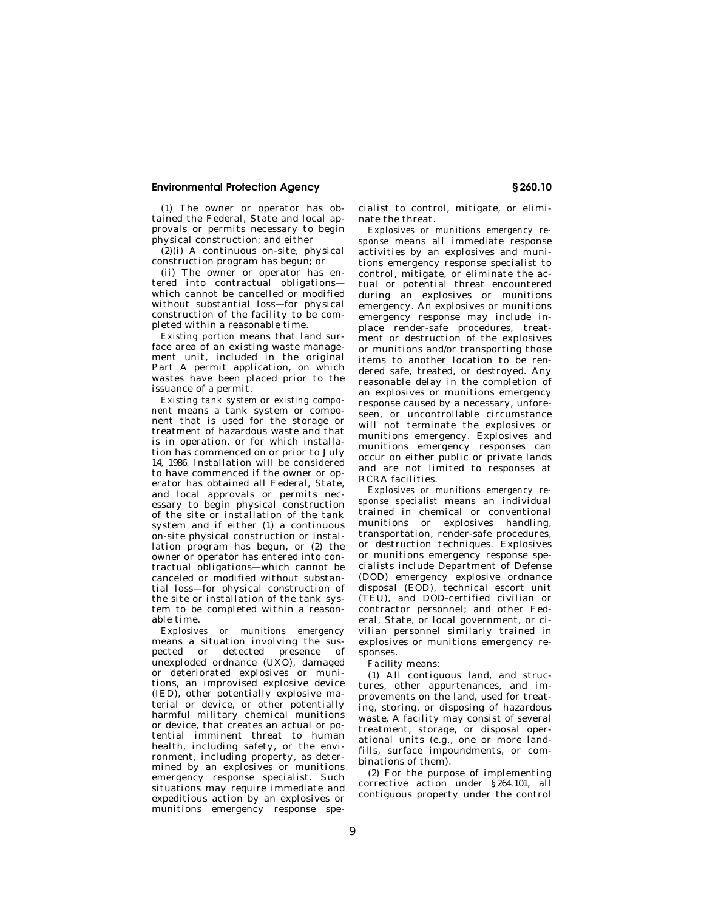(1) The owner or operator has obtained the Federal, State and local approvals or permits necessary to begin physical construction; and either

(2)(i) A continuous on-site, physical construction program has begun; or

(ii) The owner or operator has entered into contractual obligations which cannot be cancelled or modified without substantial loss—for physical construction of the facility to be completed within a reasonable time.

*Existing portion* means that land surface area of an existing waste management unit, included in the original Part A permit application, on which wastes have been placed prior to the issuance of a permit.

*Existing tank system* or *existing component* means a tank system or component that is used for the storage or treatment of hazardous waste and that is in operation, or for which installation has commenced on or prior to July 14, 1986. Installation will be considered to have commenced if the owner or operator has obtained all Federal, State, and local approvals or permits necessary to begin physical construction of the site or installation of the tank system and if either (1) a continuous on-site physical construction or installation program has begun, or (2) the owner or operator has entered into contractual obligations—which cannot be canceled or modified without substantial loss—for physical construction of the site or installation of the tank system to be completed within a reasonable time.

*Explosives or munitions emergency*  means a situation involving the suspected or detected presence of unexploded ordnance  $(UXO)$ , damaged or deteriorated explosives or munitions, an improvised explosive device (IED), other potentially explosive material or device, or other potentially harmful military chemical munitions or device, that creates an actual or potential imminent threat to human health, including safety, or the environment, including property, as determined by an explosives or munitions emergency response specialist. Such situations may require immediate and expeditious action by an explosives or munitions emergency response specialist to control, mitigate, or eliminate the threat.

*Explosives or munitions emergency response* means all immediate response activities by an explosives and munitions emergency response specialist to control, mitigate, or eliminate the actual or potential threat encountered during an explosives or munitions emergency. An explosives or munitions emergency response may include inplace render-safe procedures, treatment or destruction of the explosives or munitions and/or transporting those items to another location to be rendered safe, treated, or destroyed. Any reasonable delay in the completion of an explosives or munitions emergency response caused by a necessary, unforeseen, or uncontrollable circumstance will not terminate the explosives or munitions emergency. Explosives and munitions emergency responses can occur on either public or private lands and are not limited to responses at RCRA facilities.

*Explosives or munitions emergency response specialist* means an individual trained in chemical or conventional munitions or explosives handling, transportation, render-safe procedures, or destruction techniques. Explosives or munitions emergency response specialists include Department of Defense (DOD) emergency explosive ordnance disposal (EOD), technical escort unit (TEU), and DOD-certified civilian or contractor personnel; and other Federal, State, or local government, or civilian personnel similarly trained in explosives or munitions emergency responses.

*Facility* means:

(1) All contiguous land, and structures, other appurtenances, and improvements on the land, used for treating, storing, or disposing of hazardous waste. A facility may consist of several treatment, storage, or disposal operational units (e.g., one or more landfills, surface impoundments, or combinations of them).

(2) For the purpose of implementing corrective action under §264.101, all contiguous property under the control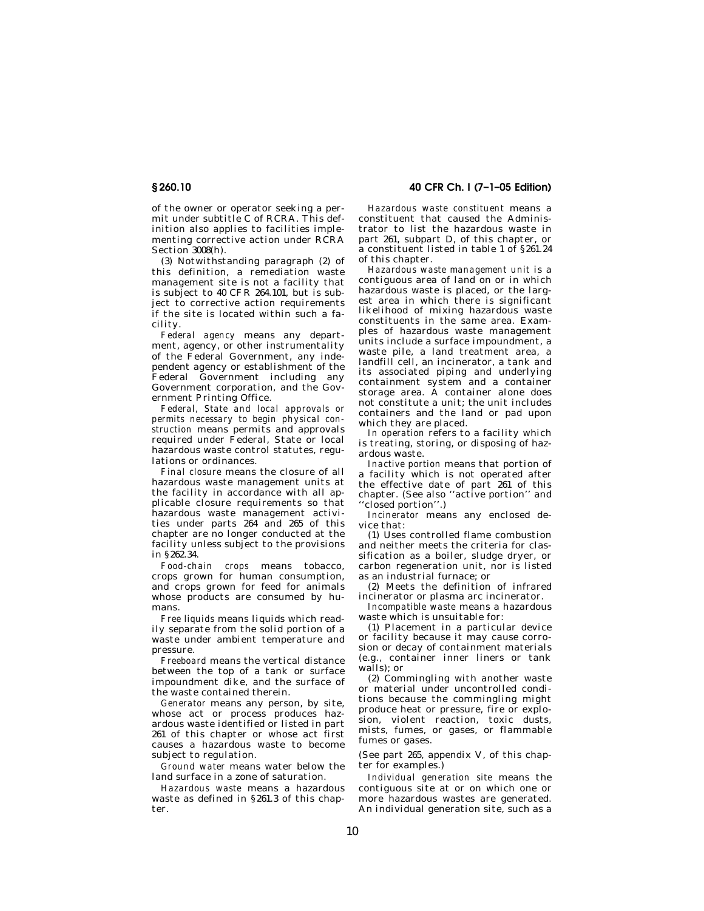of the owner or operator seeking a permit under subtitle C of RCRA. This definition also applies to facilities implementing corrective action under RCRA Section 3008(h).

(3) Notwithstanding paragraph (2) of this definition, a remediation waste management site is not a facility that is subject to 40 CFR 264.101, but is subject to corrective action requirements if the site is located within such a facility.

*Federal agency* means any department, agency, or other instrumentality of the Federal Government, any independent agency or establishment of the Federal Government including any Government corporation, and the Government Printing Office.

*Federal, State and local approvals or permits necessary to begin physical construction* means permits and approvals required under Federal, State or local hazardous waste control statutes, regulations or ordinances.

*Final closure* means the closure of all hazardous waste management units at the facility in accordance with all applicable closure requirements so that hazardous waste management activities under parts 264 and 265 of this chapter are no longer conducted at the facility unless subject to the provisions in §262.34.

*Food-chain crops* means tobacco, crops grown for human consumption, and crops grown for feed for animals whose products are consumed by humans.

*Free liquids* means liquids which readily separate from the solid portion of a waste under ambient temperature and pressure.

*Freeboard* means the vertical distance between the top of a tank or surface impoundment dike, and the surface of the waste contained therein.

*Generator* means any person, by site, whose act or process produces hazardous waste identified or listed in part 261 of this chapter or whose act first causes a hazardous waste to become subject to regulation.

*Ground water* means water below the land surface in a zone of saturation.

*Hazardous waste* means a hazardous waste as defined in §261.3 of this chapter.

## **§ 260.10 40 CFR Ch. I (7–1–05 Edition)**

*Hazardous waste constituent* means a constituent that caused the Administrator to list the hazardous waste in part 261, subpart D, of this chapter, or a constituent listed in table 1 of §261.24 of this chapter.

*Hazardous waste management unit* is a contiguous area of land on or in which hazardous waste is placed, or the largest area in which there is significant likelihood of mixing hazardous waste constituents in the same area. Examples of hazardous waste management units include a surface impoundment, a waste pile, a land treatment area, a landfill cell, an incinerator, a tank and its associated piping and underlying containment system and a container storage area. A container alone does not constitute a unit; the unit includes containers and the land or pad upon which they are placed.

*In operation* refers to a facility which is treating, storing, or disposing of hazardous waste.

*Inactive portion* means that portion of a facility which is not operated after the effective date of part 261 of this chapter. (See also ''active portion'' and 'closed portion''.)

*Incinerator* means any enclosed device that:

(1) Uses controlled flame combustion and neither meets the criteria for classification as a boiler, sludge dryer, or carbon regeneration unit, nor is listed as an industrial furnace; or

(2) Meets the definition of infrared incinerator or plasma arc incinerator.

*Incompatible waste* means a hazardous waste which is unsuitable for:

(1) Placement in a particular device or facility because it may cause corrosion or decay of containment materials (e.g., container inner liners or tank walls); or

(2) Commingling with another waste or material under uncontrolled conditions because the commingling might produce heat or pressure, fire or explosion, violent reaction, toxic dusts, mists, fumes, or gases, or flammable fumes or gases.

(See part 265, appendix V, of this chapter for examples.)

*Individual generation site* means the contiguous site at or on which one or more hazardous wastes are generated. An individual generation site, such as a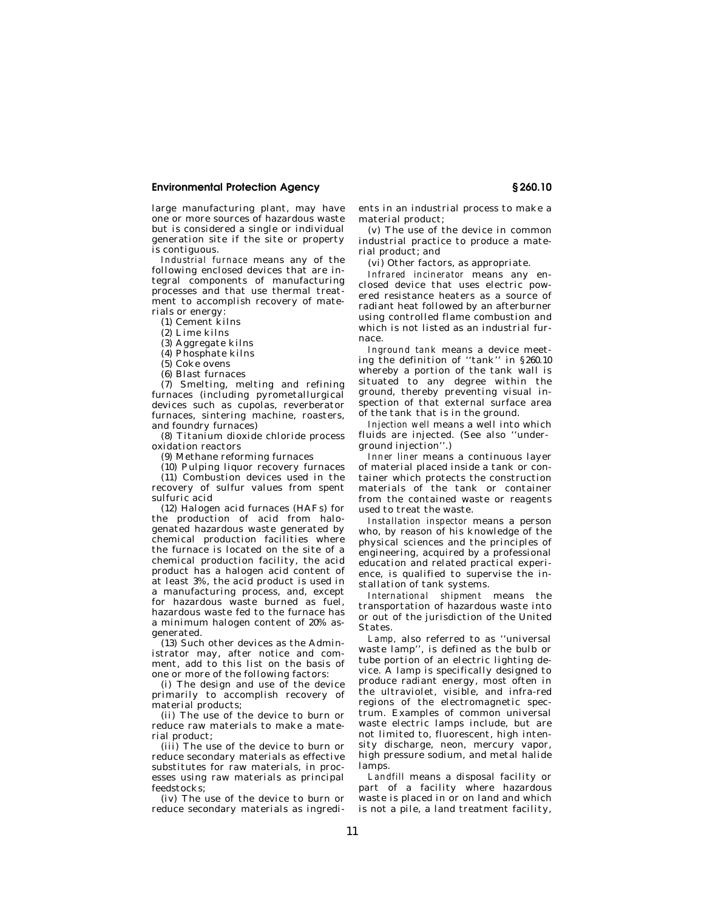large manufacturing plant, may have one or more sources of hazardous waste but is considered a single or individual generation site if the site or property is contiguous.

*Industrial furnace* means any of the following enclosed devices that are integral components of manufacturing processes and that use thermal treatment to accomplish recovery of materials or energy:

(1) Cement kilns

(2) Lime kilns

(3) Aggregate kilns

(4) Phosphate kilns

(5) Coke ovens

(6) Blast furnaces

(7) Smelting, melting and refining furnaces (including pyrometallurgical devices such as cupolas, reverberator furnaces, sintering machine, roasters, and foundry furnaces)

(8) Titanium dioxide chloride process oxidation reactors

(9) Methane reforming furnaces

(10) Pulping liquor recovery furnaces (11) Combustion devices used in the recovery of sulfur values from spent sulfuric acid

(12) Halogen acid furnaces (HAFs) for the production of acid from halogenated hazardous waste generated by chemical production facilities where the furnace is located on the site of a chemical production facility, the acid product has a halogen acid content of at least 3%, the acid product is used in a manufacturing process, and, except for hazardous waste burned as fuel, hazardous waste fed to the furnace has a minimum halogen content of 20% asgenerated.

(13) Such other devices as the Administrator may, after notice and comment, add to this list on the basis of one or more of the following factors:

(i) The design and use of the device primarily to accomplish recovery of material products;

(ii) The use of the device to burn or reduce raw materials to make a material product;

(iii) The use of the device to burn or reduce secondary materials as effective substitutes for raw materials, in processes using raw materials as principal feedstocks;

(iv) The use of the device to burn or reduce secondary materials as ingredients in an industrial process to make a material product;

(v) The use of the device in common industrial practice to produce a material product; and

(vi) Other factors, as appropriate.

*Infrared incinerator* means any enclosed device that uses electric powered resistance heaters as a source of radiant heat followed by an afterburner using controlled flame combustion and which is not listed as an industrial furnace.

*Inground tank* means a device meeting the definition of ''tank'' in §260.10 whereby a portion of the tank wall is situated to any degree within the ground, thereby preventing visual inspection of that external surface area of the tank that is in the ground.

*Injection well* means a well into which fluids are injected. (See also ''underground injection''.)

*Inner liner* means a continuous layer of material placed inside a tank or container which protects the construction materials of the tank or container from the contained waste or reagents used to treat the waste.

*Installation inspector* means a person who, by reason of his knowledge of the physical sciences and the principles of engineering, acquired by a professional education and related practical experience, is qualified to supervise the installation of tank systems.

*International shipment* means the transportation of hazardous waste into or out of the jurisdiction of the United States.

*Lamp,* also referred to as ''universal waste lamp'', is defined as the bulb or tube portion of an electric lighting device. A lamp is specifically designed to produce radiant energy, most often in the ultraviolet, visible, and infra-red regions of the electromagnetic spectrum. Examples of common universal waste electric lamps include, but are not limited to, fluorescent, high intensity discharge, neon, mercury vapor, high pressure sodium, and metal halide lamps.

*Landfill* means a disposal facility or part of a facility where hazardous waste is placed in or on land and which is not a pile, a land treatment facility,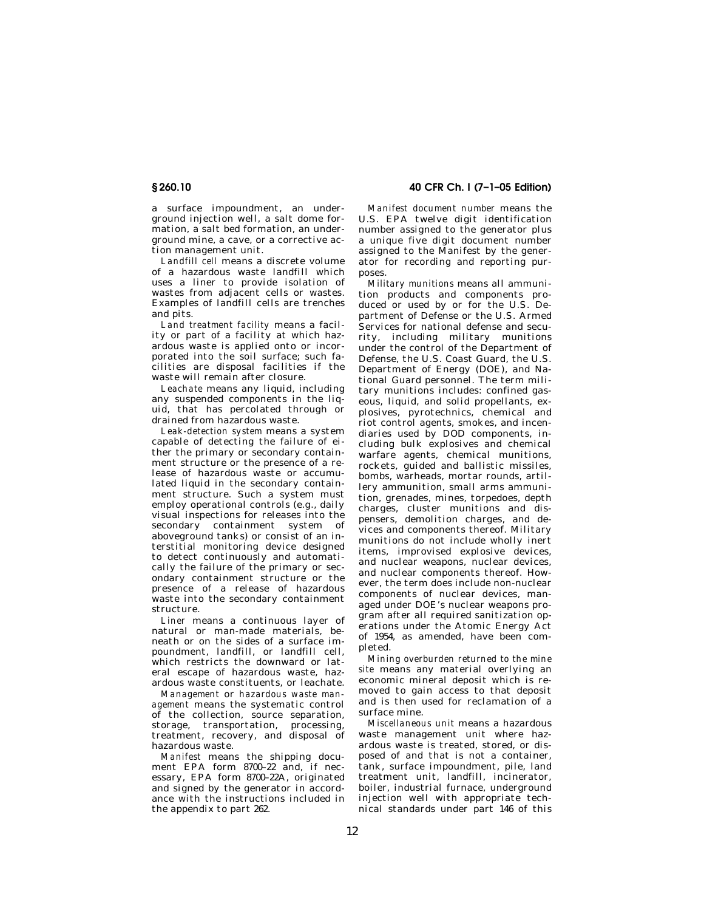a surface impoundment, an underground injection well, a salt dome formation, a salt bed formation, an underground mine, a cave, or a corrective action management unit.

*Landfill cell* means a discrete volume of a hazardous waste landfill which uses a liner to provide isolation of wastes from adjacent cells or wastes. Examples of landfill cells are trenches and pits.

*Land treatment facility* means a facility or part of a facility at which hazardous waste is applied onto or incorporated into the soil surface; such facilities are disposal facilities if the waste will remain after closure.

*Leachate* means any liquid, including any suspended components in the liquid, that has percolated through or drained from hazardous waste.

*Leak-detection system* means a system capable of detecting the failure of either the primary or secondary containment structure or the presence of a release of hazardous waste or accumulated liquid in the secondary containment structure. Such a system must employ operational controls (e.g., daily visual inspections for releases into the secondary containment system of aboveground tanks) or consist of an interstitial monitoring device designed to detect continuously and automatically the failure of the primary or secondary containment structure or the presence of a release of hazardous waste into the secondary containment structure.

*Liner* means a continuous layer of natural or man-made materials, beneath or on the sides of a surface impoundment, landfill, or landfill cell, which restricts the downward or lateral escape of hazardous waste, hazardous waste constituents, or leachate.

*Management* or *hazardous waste management* means the systematic control of the collection, source separation, storage, transportation, processing, treatment, recovery, and disposal of hazardous waste.

*Manifest* means the shipping document EPA form 8700-22 and, if necessary, EPA form 8700–22A, originated and signed by the generator in accordance with the instructions included in the appendix to part 262.

**§ 260.10 40 CFR Ch. I (7–1–05 Edition)** 

*Manifest document number* means the U.S. EPA twelve digit identification number assigned to the generator plus a unique five digit document number assigned to the Manifest by the generator for recording and reporting purposes.

*Military munitions* means all ammunition products and components produced or used by or for the U.S. Department of Defense or the U.S. Armed Services for national defense and security, including military munitions under the control of the Department of Defense, the U.S. Coast Guard, the U.S. Department of Energy (DOE), and National Guard personnel. The term military munitions includes: confined gaseous, liquid, and solid propellants, explosives, pyrotechnics, chemical and riot control agents, smokes, and incendiaries used by DOD components, including bulk explosives and chemical warfare agents, chemical munitions, rockets, guided and ballistic missiles, bombs, warheads, mortar rounds, artillery ammunition, small arms ammunition, grenades, mines, torpedoes, depth charges, cluster munitions and dispensers, demolition charges, and devices and components thereof. Military munitions do not include wholly inert items, improvised explosive devices, and nuclear weapons, nuclear devices, and nuclear components thereof. However, the term does include non-nuclear components of nuclear devices, managed under DOE's nuclear weapons program after all required sanitization operations under the Atomic Energy Act of 1954, as amended, have been completed.

*Mining overburden returned to the mine site* means any material overlying an economic mineral deposit which is removed to gain access to that deposit and is then used for reclamation of a surface mine.

*Miscellaneous unit* means a hazardous waste management unit where hazardous waste is treated, stored, or disposed of and that is not a container, .<br>tank, surface impoundment, pile, land treatment unit, landfill, incinerator, boiler, industrial furnace, underground injection well with appropriate technical standards under part 146 of this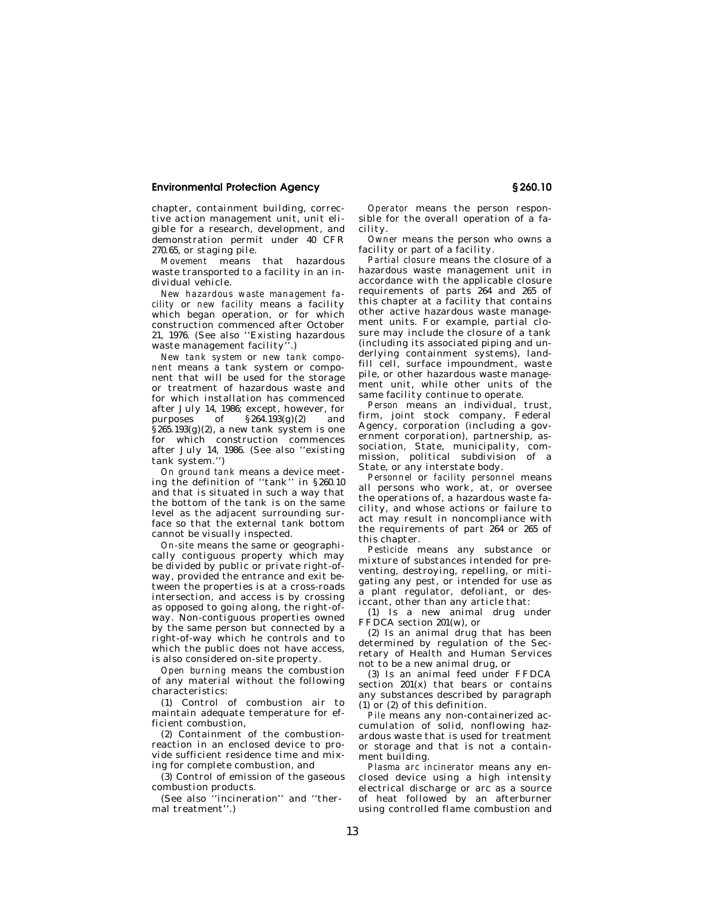chapter, containment building, corrective action management unit, unit eligible for a research, development, and demonstration permit under 40 CFR 270.65, or staging pile.

*Movement* means that hazardous waste transported to a facility in an individual vehicle.

*New hazardous waste management facility* or *new facility* means a facility which began operation, or for which construction commenced after October 21, 1976. (See also ''Existing hazardous waste management facility".)

*New tank system* or *new tank component* means a tank system or component that will be used for the storage or treatment of hazardous waste and for which installation has commenced after July 14, 1986; except, however, for purposes of  $\S 264.193(g)(2)$  and  $\frac{1}{2}$ 865.193(g)(2), a new tank system is one for which construction commences after July 14, 1986. (See also ''existing tank system.'')

*On ground tank* means a device meeting the definition of ''tank'' in §260.10 and that is situated in such a way that the bottom of the tank is on the same level as the adjacent surrounding surface so that the external tank bottom cannot be visually inspected.

*On-site* means the same or geographically contiguous property which may be divided by public or private right-ofway, provided the entrance and exit between the properties is at a cross-roads intersection, and access is by crossing as opposed to going along, the right-ofway. Non-contiguous properties owned by the same person but connected by a right-of-way which he controls and to which the public does not have access, is also considered on-site property.

*Open burning* means the combustion of any material without the following characteristics:

(1) Control of combustion air to maintain adequate temperature for efficient combustion,

(2) Containment of the combustionreaction in an enclosed device to provide sufficient residence time and mixing for complete combustion, and

(3) Control of emission of the gaseous combustion products.

(See also ''incineration'' and ''thermal treatment''.)

*Operator* means the person responsible for the overall operation of a facility.

*Owner* means the person who owns a facility or part of a facility.

*Partial closure* means the closure of a hazardous waste management unit in accordance with the applicable closure requirements of parts 264 and 265 of this chapter at a facility that contains other active hazardous waste management units. For example, partial closure may include the closure of a tank (including its associated piping and underlying containment systems), landfill cell, surface impoundment, waste pile, or other hazardous waste management unit, while other units of the same facility continue to operate.

*Person* means an individual, trust, firm, joint stock company, Federal Agency, corporation (including a government corporation), partnership, association, State, municipality, commission, political subdivision of a State, or any interstate body.

*Personnel* or *facility personnel* means all persons who work, at, or oversee the operations of, a hazardous waste facility, and whose actions or failure to act may result in noncompliance with the requirements of part 264 or 265 of this chapter.

*Pesticide* means any substance or mixture of substances intended for preventing, destroying, repelling, or mitigating any pest, or intended for use as a plant regulator, defoliant, or desiccant, other than any article that:

(1) Is a new animal drug under FFDCA section 201(w), or

(2) Is an animal drug that has been determined by regulation of the Secretary of Health and Human Services not to be a new animal drug, or

(3) Is an animal feed under FFDCA section  $201(x)$  that bears or contains any substances described by paragraph (1) or (2) of this definition.

*Pile* means any non-containerized accumulation of solid, nonflowing hazardous waste that is used for treatment or storage and that is not a containment building.

*Plasma arc incinerator* means any enclosed device using a high intensity electrical discharge or arc as a source of heat followed by an afterburner using controlled flame combustion and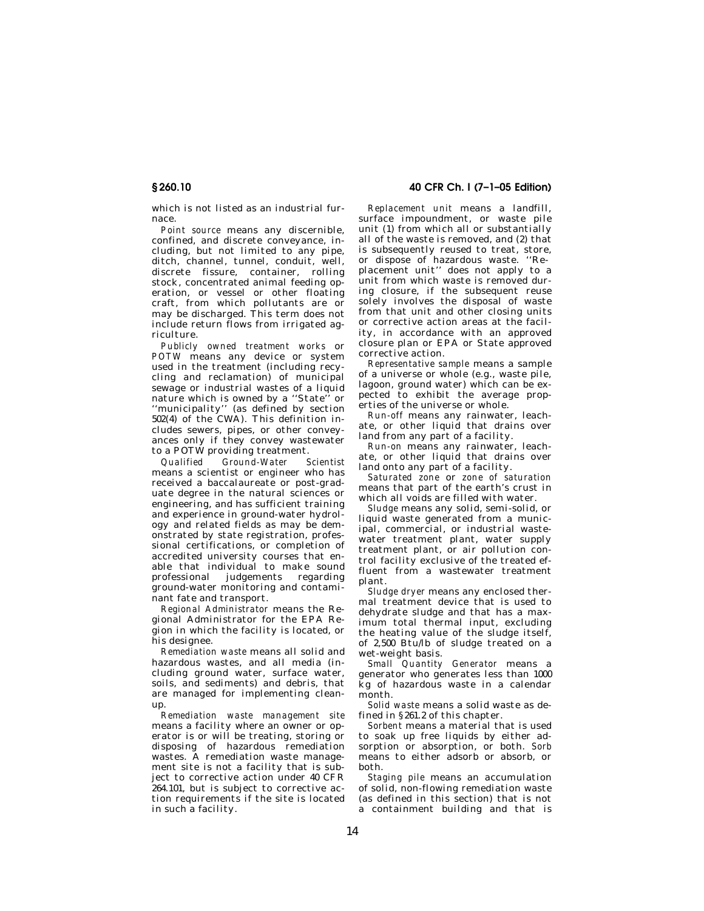which is not listed as an industrial furnace.

*Point source* means any discernible, confined, and discrete conveyance, including, but not limited to any pipe, ditch, channel, tunnel, conduit, well, discrete fissure, container, rolling stock, concentrated animal feeding operation, or vessel or other floating craft, from which pollutants are or may be discharged. This term does not include return flows from irrigated agriculture.

*Publicly owned treatment works* or *POTW* means any device or system used in the treatment (including recycling and reclamation) of municipal sewage or industrial wastes of a liquid nature which is owned by a "State" or ''municipality'' (as defined by section 502(4) of the CWA). This definition includes sewers, pipes, or other conveyances only if they convey wastewater

to a POTW providing treatment.<br>*Qualified Ground-Water S Qualified Ground-Water Scientist*  means a scientist or engineer who has received a baccalaureate or post-graduate degree in the natural sciences or engineering, and has sufficient training and experience in ground-water hydrology and related fields as may be demonstrated by state registration, professional certifications, or completion of accredited university courses that enable that individual to make sound professional judgements regarding ground-water monitoring and contaminant fate and transport.

*Regional Administrator* means the Regional Administrator for the EPA Region in which the facility is located, or his designee.

*Remediation waste* means all solid and hazardous wastes, and all media (including ground water, surface water, soils, and sediments) and debris, that are managed for implementing cleanup.

*Remediation waste management site*  means a facility where an owner or operator is or will be treating, storing or disposing of hazardous remediation wastes. A remediation waste management site is not a facility that is subject to corrective action under 40 CFR 264.101, but is subject to corrective action requirements if the site is located in such a facility.

# **§ 260.10 40 CFR Ch. I (7–1–05 Edition)**

*Replacement unit* means a landfill, surface impoundment, or waste pile unit (1) from which all or substantially all of the waste is removed, and (2) that is subsequently reused to treat, store, or dispose of hazardous waste. ''Replacement unit'' does not apply to a unit from which waste is removed during closure, if the subsequent reuse solely involves the disposal of waste from that unit and other closing units or corrective action areas at the facility, in accordance with an approved closure plan or EPA or State approved corrective action.

*Representative sample* means a sample of a universe or whole (e.g., waste pile, lagoon, ground water) which can be expected to exhibit the average properties of the universe or whole

*Run-off* means any rainwater, leachate, or other liquid that drains over land from any part of a facility.

*Run-on* means any rainwater, leachate, or other liquid that drains over land onto any part of a facility.

*Saturated zone* or *zone of saturation*  means that part of the earth's crust in which all voids are filled with water.

*Sludge* means any solid, semi-solid, or liquid waste generated from a municipal, commercial, or industrial wastewater treatment plant, water supply treatment plant, or air pollution control facility exclusive of the treated effluent from a wastewater treatment plant.

*Sludge dryer* means any enclosed thermal treatment device that is used to dehydrate sludge and that has a maximum total thermal input, excluding the heating value of the sludge itself, of 2,500 Btu/lb of sludge treated on a wet-weight basis.

*Small Quantity Generator* means a generator who generates less than 1000 kg of hazardous waste in a calendar month.

*Solid waste* means a solid waste as defined in §261.2 of this chapter.

*Sorbent* means a material that is used to soak up free liquids by either adsorption or absorption, or both. *Sorb*  means to either adsorb or absorb, or both.

*Staging pile* means an accumulation of solid, non-flowing remediation waste (as defined in this section) that is not a containment building and that is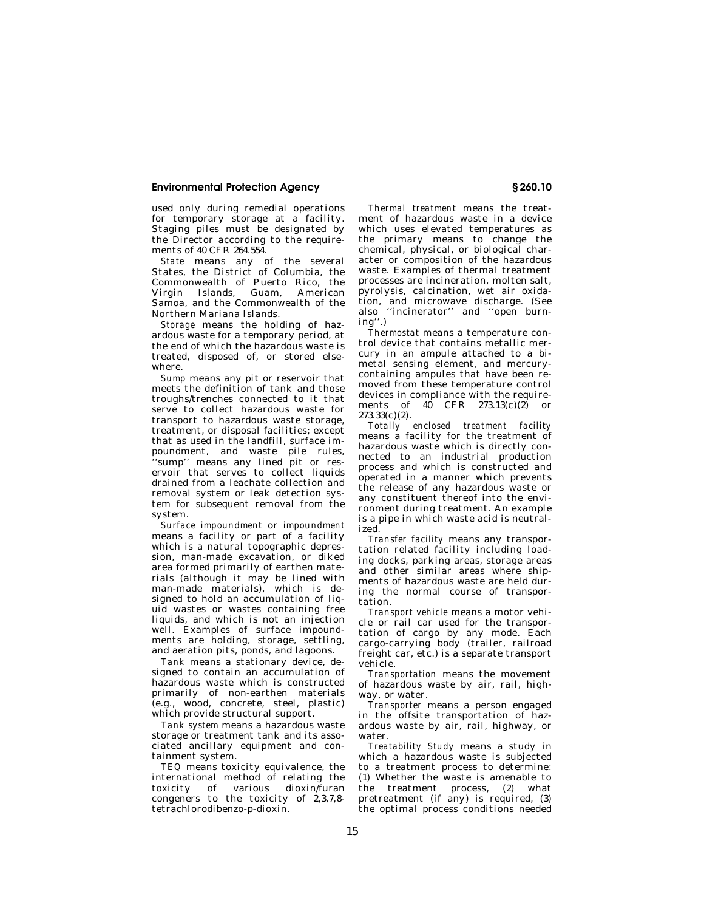used only during remedial operations for temporary storage at a facility. Staging piles must be designated by the Director according to the requirements of 40 CFR 264.554.

*State* means any of the several States, the District of Columbia, the Commonwealth of Puerto Rico, the Virgin Islands, Guam, American Samoa, and the Commonwealth of the Northern Mariana Islands.

*Storage* means the holding of hazardous waste for a temporary period, at the end of which the hazardous waste is treated, disposed of, or stored elsewhere.

*Sump* means any pit or reservoir that meets the definition of tank and those troughs/trenches connected to it that serve to collect hazardous waste for transport to hazardous waste storage, treatment, or disposal facilities; except that as used in the landfill, surface impoundment, and waste pile rules, ''sump'' means any lined pit or reservoir that serves to collect liquids drained from a leachate collection and removal system or leak detection system for subsequent removal from the system.

*Surface impoundment* or *impoundment*  means a facility or part of a facility which is a natural topographic depression, man-made excavation, or diked area formed primarily of earthen materials (although it may be lined with man-made materials), which is designed to hold an accumulation of liquid wastes or wastes containing free liquids, and which is not an injection well. Examples of surface impoundments are holding, storage, settling, and aeration pits, ponds, and lagoons.

*Tank* means a stationary device, designed to contain an accumulation of hazardous waste which is constructed primarily of non-earthen materials (e.g., wood, concrete, steel, plastic) which provide structural support.

*Tank system* means a hazardous waste storage or treatment tank and its associated ancillary equipment and containment system.

*TEQ* means toxicity equivalence, the international method of relating the toxicity of various dioxin/furan congeners to the toxicity of 2,3,7,8 tetrachlorodibenzo-p-dioxin.

*Thermal treatment* means the treatment of hazardous waste in a device which uses elevated temperatures as the primary means to change the chemical, physical, or biological character or composition of the hazardous waste. Examples of thermal treatment processes are incineration, molten salt, pyrolysis, calcination, wet air oxidation, and microwave discharge. (See also ''incinerator'' and ''open burning''.)

*Thermostat* means a temperature control device that contains metallic mercury in an ampule attached to a bimetal sensing element, and mercurycontaining ampules that have been removed from these temperature control devices in compliance with the requirements of  $40$  CFR  $273.13(c)(2)$  or  $273.33(c)(2)$ .

*Totally enclosed treatment facility*  means a facility for the treatment of hazardous waste which is directly connected to an industrial production process and which is constructed and operated in a manner which prevents the release of any hazardous waste or any constituent thereof into the environment during treatment. An example is a pipe in which waste acid is neutralized.

*Transfer facility* means any transportation related facility including loading docks, parking areas, storage areas and other similar areas where shipments of hazardous waste are held during the normal course of transportation.

*Transport vehicle* means a motor vehicle or rail car used for the transportation of cargo by any mode. Each cargo-carrying body (trailer, railroad freight car, etc.) is a separate transport vehicle.

*Transportation* means the movement of hazardous waste by air, rail, highway, or water.

*Transporter* means a person engaged in the offsite transportation of hazardous waste by air, rail, highway, or water.

*Treatability Study* means a study in which a hazardous waste is subjected to a treatment process to determine: (1) Whether the waste is amenable to the treatment process, (2) what pretreatment (if any) is required, (3) the optimal process conditions needed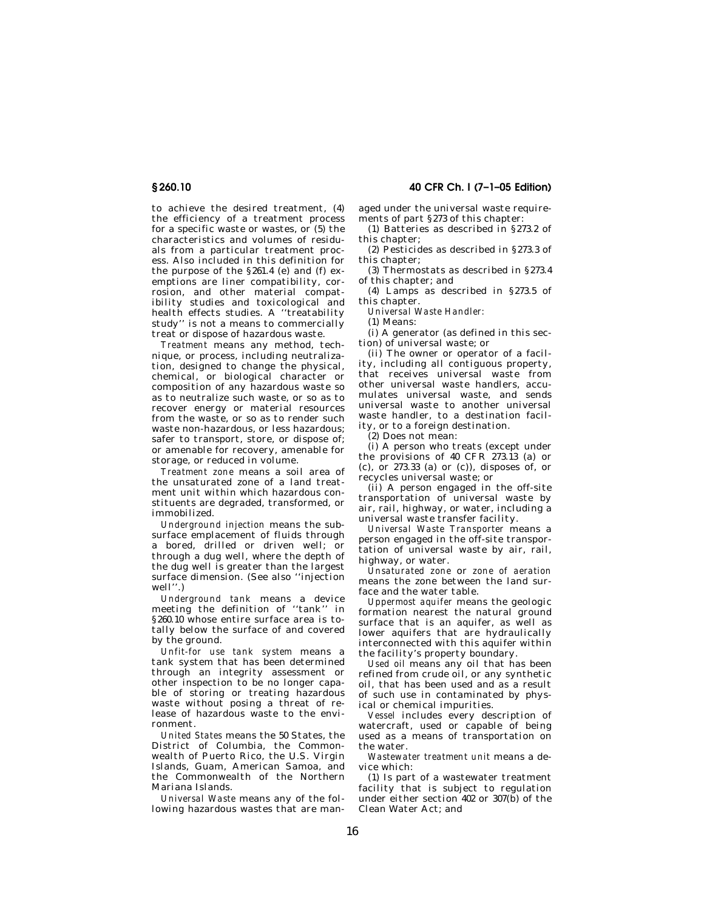to achieve the desired treatment, (4) the efficiency of a treatment process for a specific waste or wastes, or (5) the characteristics and volumes of residuals from a particular treatment process. Also included in this definition for the purpose of the  $$261.4$  (e) and (f) exemptions are liner compatibility, corrosion, and other material compatibility studies and toxicological and health effects studies. A ''treatability study'' is not a means to commercially treat or dispose of hazardous waste.

*Treatment* means any method, technique, or process, including neutralization, designed to change the physical, chemical, or biological character or composition of any hazardous waste so as to neutralize such waste, or so as to recover energy or material resources from the waste, or so as to render such waste non-hazardous, or less hazardous; safer to transport, store, or dispose of; or amenable for recovery, amenable for storage, or reduced in volume.

*Treatment zone* means a soil area of the unsaturated zone of a land treatment unit within which hazardous constituents are degraded, transformed, or immobilized.

*Underground injection* means the subsurface emplacement of fluids through a bored, drilled or driven well; or through a dug well, where the depth of the dug well is greater than the largest surface dimension. (See also ''injection well''.)

*Underground tank* means a device meeting the definition of ''tank'' in §260.10 whose entire surface area is totally below the surface of and covered by the ground.

*Unfit-for use tank system* means a tank system that has been determined through an integrity assessment or other inspection to be no longer capable of storing or treating hazardous waste without posing a threat of release of hazardous waste to the environment.

*United States* means the 50 States, the District of Columbia, the Commonwealth of Puerto Rico, the U.S. Virgin Islands, Guam, American Samoa, and the Commonwealth of the Northern Mariana Islands.

*Universal Waste* means any of the following hazardous wastes that are man-

**§ 260.10 40 CFR Ch. I (7–1–05 Edition)** 

aged under the universal waste requirements of part §273 of this chapter:

(1) Batteries as described in §273.2 of this chapter;

(2) Pesticides as described in §273.3 of this chapter:

(3) Thermostats as described in §273.4 of this chapter; and

(4) Lamps as described in §273.5 of this chapter.

*Universal Waste Handler:* 

(1) Means:

(i) A generator (as defined in this section) of universal waste; or

(ii) The owner or operator of a facility, including all contiguous property, that receives universal waste from other universal waste handlers, accumulates universal waste, and sends universal waste to another universal waste handler, to a destination facility, or to a foreign destination.

(2) Does not mean:

(i) A person who treats (except under the provisions of 40 CFR 273.13 (a) or (c), or 273.33 (a) or (c)), disposes of, or recycles universal waste; or

(ii) A person engaged in the off-site transportation of universal waste by air, rail, highway, or water, including a universal waste transfer facility.

*Universal Waste Transporter* means a person engaged in the off-site transportation of universal waste by air, rail, highway, or water.

*Unsaturated zone* or *zone of aeration*  means the zone between the land surface and the water table.

*Uppermost aquifer* means the geologic formation nearest the natural ground surface that is an aquifer, as well as lower aquifers that are hydraulically interconnected with this aquifer within the facility's property boundary.

*Used oil* means any oil that has been refined from crude oil, or any synthetic oil, that has been used and as a result of such use in contaminated by physical or chemical impurities.

*Vessel* includes every description of watercraft, used or capable of being used as a means of transportation on the water.

*Wastewater treatment unit* means a device which:

(1) Is part of a wastewater treatment facility that is subject to regulation under either section 402 or 307(b) of the Clean Water Act; and